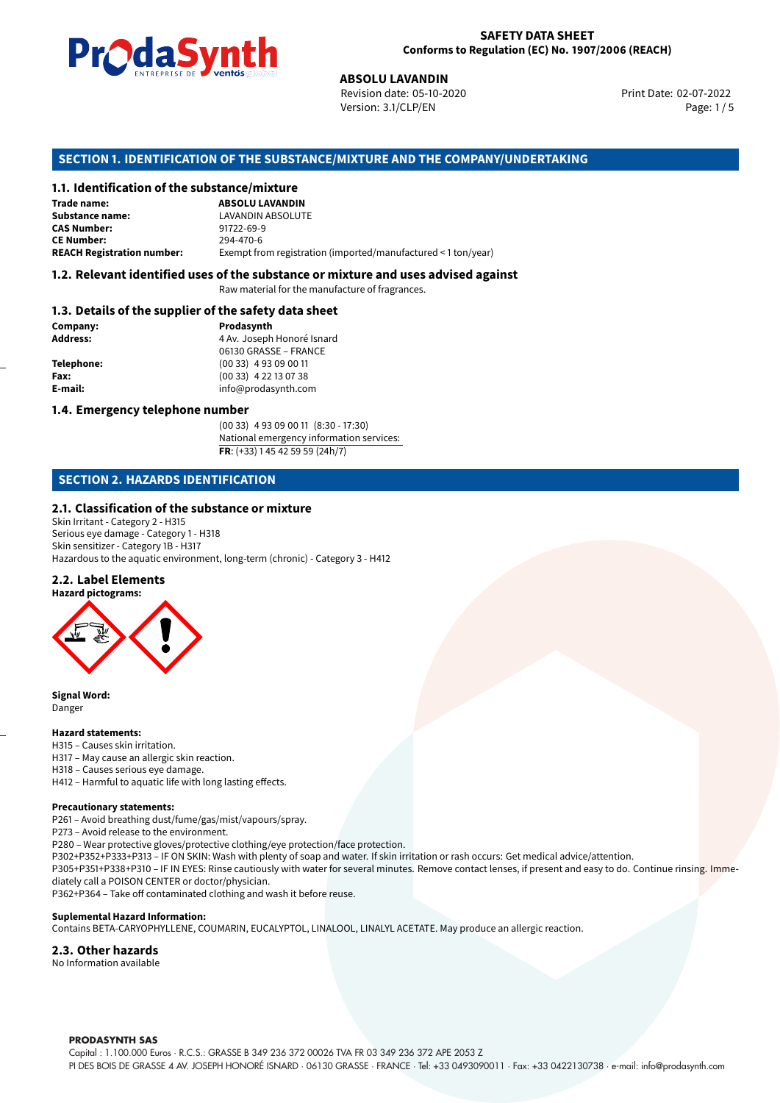

Revision date: 05-10-2020 Version: 3.1/CLP/EN Page: 1 / 5

Print Date: 02-07-2022

# **SECTION 1. IDENTIFICATION OF THE SUBSTANCE/MIXTURE AND THE COMPANY/UNDERTAKING**

## **1.1. Identification of the substance/mixture**

|                                              | LIVING THE DE <b>DE VOINUS</b> SUSSESSI<br><b>ABSOLU LAVANDIN</b><br>Revision date: 05-10-2020<br>Version: 3.1/CLP/EN |
|----------------------------------------------|-----------------------------------------------------------------------------------------------------------------------|
|                                              | SECTION 1. IDENTIFICATION OF THE SUBSTANCE/MIXTURE AND THE COMPANY/U                                                  |
| 1.1. Identification of the substance/mixture |                                                                                                                       |
| Trade name:                                  | <b>ABSOLU LAVANDIN</b>                                                                                                |
| <b>Substance name:</b>                       | LAVANDIN ABSOLUTE                                                                                                     |
| <b>CAS Number:</b>                           | 91722-69-9                                                                                                            |
| <b>CE Number:</b>                            | 294-470-6                                                                                                             |
| <b>REACH Registration number:</b>            | Exempt from registration (imported/manufactured < 1 ton/year)                                                         |
|                                              |                                                                                                                       |

#### **1.2. Relevant identified uses of the substance or mixture and uses advised against**

Raw material for the manufacture of fragrances.

#### **1.3. Details of the supplier of the safety data sheet**

| Company:   | Prodasynth                 |  |
|------------|----------------------------|--|
| Address:   | 4 Av. Joseph Honoré Isnard |  |
|            | 06130 GRASSE - FRANCE      |  |
| Telephone: | $(0033)$ 4 93 09 00 11     |  |
| Fax:       | $(0033)$ 4 22 13 07 38     |  |
| E-mail:    | info@prodasynth.com        |  |
|            |                            |  |

### **1.4. Emergency telephone number**

(00 33) 4 93 09 00 11 (8:30 - 17:30) National emergency information services: **FR**: (+33) 1 45 42 59 59 (24h/7)

# **SECTION 2. HAZARDS IDENTIFICATION**

#### **2.1. Classification of the substance or mixture**

Skin Irritant - Category 2 - H315 Serious eye damage - Category 1 - H318 Skin sensitizer - Category 1B - H317 Hazardous to the aquatic environment, long-term (chronic) - Category 3 - H412

#### **2.2. Label Elements**



**Signal Word:** Danger

#### **Hazard statements:**

- H315 Causes skin irritation.
- H317 May cause an allergic skin reaction.
- H318 Causes serious eye damage.
- H412 Harmful to aquatic life with long lasting effects.

### **Precautionary statements:**

P261 – Avoid breathing dust/fume/gas/mist/vapours/spray.

P273 – Avoid release to the environment.

- P280 Wear protective gloves/protective clothing/eye protection/face protection.
- P302+P352+P333+P313 IF ON SKIN: Wash with plenty of soap and water. If skin irritation or rash occurs: Get medical advice/attention.

P305+P351+P338+P310 – IF IN EYES: Rinse cautiously with water for several minutes. Remove contact lenses, if present and easy to do. Continue rinsing. Immediately call a POISON CENTER or doctor/physician.

P362+P364 – Take off contaminated clothing and wash it before reuse.

#### **Suplemental Hazard Information:**

Contains BETA-CARYOPHYLLENE, COUMARIN, EUCALYPTOL, LINALOOL, LINALYL ACETATE. May produce an allergic reaction.

#### **2.3. Other hazards**

No Information available

#### **PRODASYNTH SAS**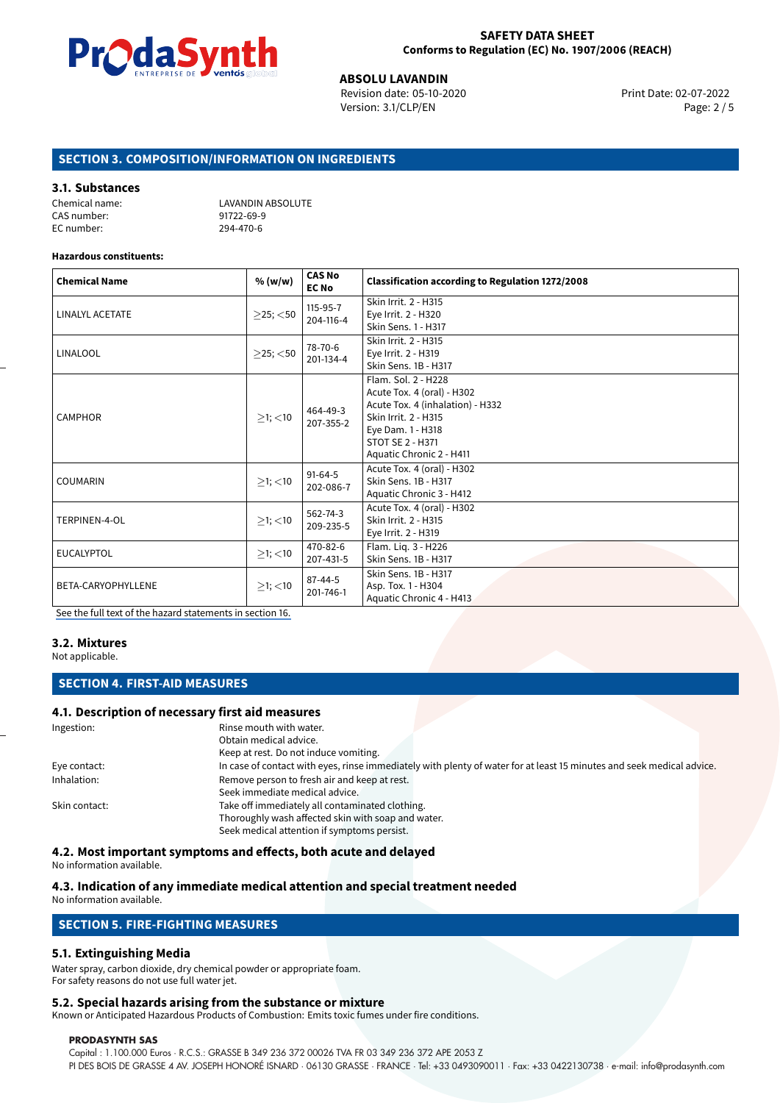

**ABSOLU LAVANDIN**<br>Revision date: 05-10-2020 **Print Date: 02-07-2022** Version: 3.1/CLP/EN Page: 2 / 5

# **SECTION 3. COMPOSITION/INFORMATION ON INGREDIENTS**

#### **3.1. Substances**

| Chemical name: | LAVANDIN ABSOLUTE |
|----------------|-------------------|
| CAS number:    | 91722-69-9        |
| EC number:     | 294-470-6         |

#### **Hazardous constituents:**

| <b>Chemical Name</b> | % (w/w)           | <b>CAS No</b><br><b>EC No</b> | <b>Classification according to Regulation 1272/2008</b>                                                                                                                                   |
|----------------------|-------------------|-------------------------------|-------------------------------------------------------------------------------------------------------------------------------------------------------------------------------------------|
| LINALYL ACETATE      | $\geq$ 25; $<$ 50 | 115-95-7<br>204-116-4         | Skin Irrit. 2 - H315<br>Eye Irrit. 2 - H320<br>Skin Sens. 1 - H317                                                                                                                        |
| <b>LINALOOL</b>      | $\geq$ 25; <50    | 78-70-6<br>201-134-4          | Skin Irrit. 2 - H315<br>Eye Irrit. 2 - H319<br>Skin Sens. 1B - H317                                                                                                                       |
| <b>CAMPHOR</b>       | $\geq$ 1; <10     | 464-49-3<br>207-355-2         | Flam. Sol. 2 - H228<br>Acute Tox. 4 (oral) - H302<br>Acute Tox. 4 (inhalation) - H332<br>Skin Irrit. 2 - H315<br>Eye Dam. 1 - H318<br><b>STOT SE 2 - H371</b><br>Aquatic Chronic 2 - H411 |
| <b>COUMARIN</b>      | $\geq$ 1; <10     | $91-64-5$<br>202-086-7        | Acute Tox. 4 (oral) - H302<br>Skin Sens. 1B - H317<br>Aquatic Chronic 3 - H412                                                                                                            |
| TERPINEN-4-OL        | $\geq$ 1; <10     | 562-74-3<br>209-235-5         | Acute Tox. 4 (oral) - H302<br>Skin Irrit. 2 - H315<br>Eye Irrit. 2 - H319                                                                                                                 |
| <b>EUCALYPTOL</b>    | $\geq$ 1; <10     | 470-82-6<br>207-431-5         | Flam. Lig. 3 - H226<br>Skin Sens. 1B - H317                                                                                                                                               |
| BETA-CARYOPHYLLENE   | $\geq$ 1; <10     | $87 - 44 - 5$<br>201-746-1    | Skin Sens. 1B - H317<br>Asp. Tox. 1 - H304<br>Aquatic Chronic 4 - H413                                                                                                                    |

[See the full text of the hazard statements in section 16.](#page-4-0)

#### **3.2. Mixtures**

Not applicable.

## **SECTION 4. FIRST-AID MEASURES**

#### **4.1. Description of necessary first aid measures**

| Rinse mouth with water.                                                                                               |
|-----------------------------------------------------------------------------------------------------------------------|
| Obtain medical advice.                                                                                                |
| Keep at rest. Do not induce vomiting.                                                                                 |
| In case of contact with eyes, rinse immediately with plenty of water for at least 15 minutes and seek medical advice. |
| Remove person to fresh air and keep at rest.                                                                          |
| Seek immediate medical advice.                                                                                        |
| Take off immediately all contaminated clothing.                                                                       |
| Thoroughly wash affected skin with soap and water.                                                                    |
| Seek medical attention if symptoms persist.                                                                           |
|                                                                                                                       |

**4.2. Most important symptoms and effects, both acute and delayed**

No information available.

### **4.3. Indication of any immediate medical attention and special treatment needed**

No information available.

### **5.1. Extinguishing Media**

Water spray, carbon dioxide, dry chemical powder or appropriate foam. For safety reasons do not use full water jet.

#### **5.2. Special hazards arising from the substance or mixture**

Known or Anticipated Hazardous Products of Combustion: Emits toxic fumes under fire conditions.

#### **PRODASYNTH SAS**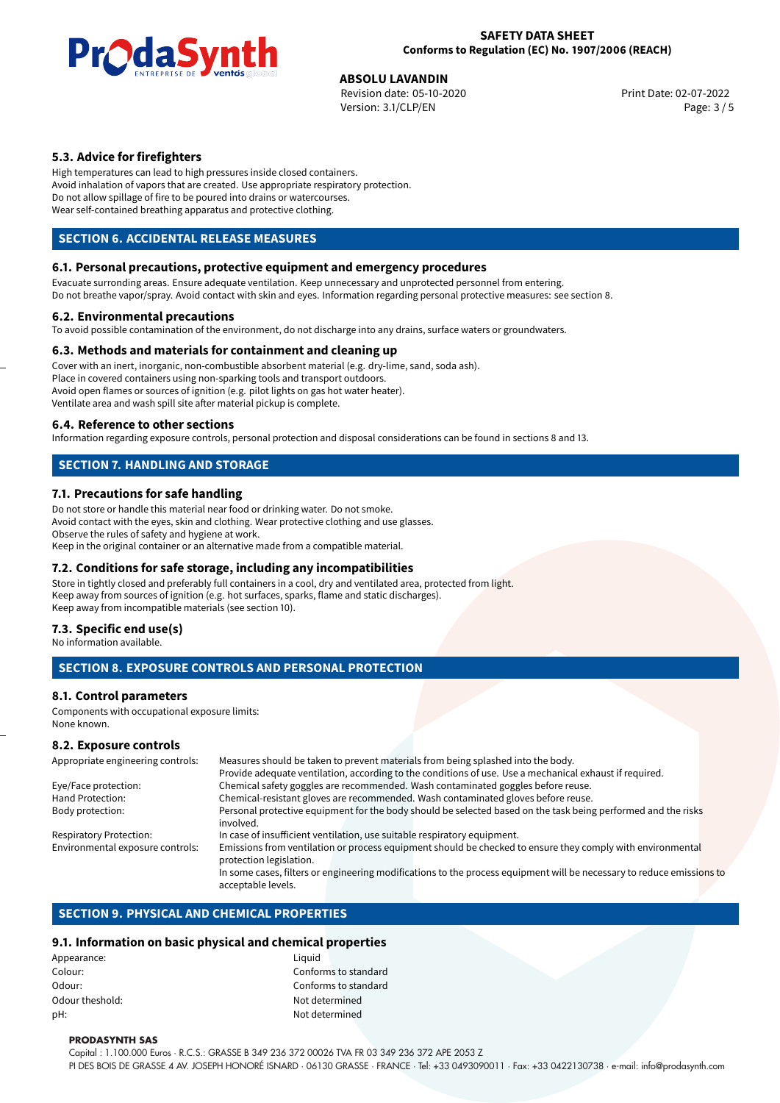

# **ABSOLU LAVANDIN**<br>
Revision date: 05-10-2020<br> **Devision date: 05-10-2020**

Revision date: 05-10-2020 Version: 3.1/CLP/EN Page: 3 / 5

# **5.3. Advice for firefighters**

High temperatures can lead to high pressures inside closed containers. Avoid inhalation of vapors that are created. Use appropriate respiratory protection. Do not allow spillage of fire to be poured into drains or watercourses. Wear self-contained breathing apparatus and protective clothing.

# **SECTION 6. ACCIDENTAL RELEASE MEASURES**

### **6.1. Personal precautions, protective equipment and emergency procedures**

Evacuate surronding areas. Ensure adequate ventilation. Keep unnecessary and unprotected personnel from entering. Do not breathe vapor/spray. Avoid contact with skin and eyes. Information regarding personal protective measures: see section 8.

#### **6.2. Environmental precautions**

To avoid possible contamination of the environment, do not discharge into any drains, surface waters or groundwaters.

### **6.3. Methods and materials for containment and cleaning up**

Cover with an inert, inorganic, non-combustible absorbent material (e.g. dry-lime, sand, soda ash). Place in covered containers using non-sparking tools and transport outdoors. Avoid open flames or sources of ignition (e.g. pilot lights on gas hot water heater). Ventilate area and wash spill site after material pickup is complete.

### **6.4. Reference to other sections**

Information regarding exposure controls, personal protection and disposal considerations can be found in sections 8 and 13.

# **SECTION 7. HANDLING AND STORAGE**

### **7.1. Precautions for safe handling**

Do not store or handle this material near food or drinking water. Do not smoke. Avoid contact with the eyes, skin and clothing. Wear protective clothing and use glasses. Observe the rules of safety and hygiene at work. Keep in the original container or an alternative made from a compatible material.

# **7.2. Conditions for safe storage, including any incompatibilities**

Store in tightly closed and preferably full containers in a cool, dry and ventilated area, protected from light. Keep away from sources of ignition (e.g. hot surfaces, sparks, flame and static discharges). Keep away from incompatible materials (see section 10).

### **7.3. Specific end use(s)**

No information available.

# **SECTION 8. EXPOSURE CONTROLS AND PERSONAL PROTECTION**

# **8.1. Control parameters**

Components with occupational exposure limits: None known.

### **8.2. Exposure controls**

| Appropriate engineering controls: | Measures should be taken to prevent materials from being splashed into the body.                                                            |  |  |
|-----------------------------------|---------------------------------------------------------------------------------------------------------------------------------------------|--|--|
|                                   | Provide adequate ventilation, according to the conditions of use. Use a mechanical exhaust if required.                                     |  |  |
| Eye/Face protection:              | Chemical safety goggles are recommended. Wash contaminated goggles before reuse.                                                            |  |  |
| Hand Protection:                  | Chemical-resistant gloves are recommended. Wash contaminated gloves before reuse.                                                           |  |  |
| Body protection:                  | Personal protective equipment for the body should be selected based on the task being performed and the risks<br>involved.                  |  |  |
| <b>Respiratory Protection:</b>    | In case of insufficient ventilation, use suitable respiratory equipment.                                                                    |  |  |
| Environmental exposure controls:  | Emissions from ventilation or process equipment should be checked to ensure they comply with environmental<br>protection legislation.       |  |  |
|                                   | In some cases, filters or engineering modifications to the process equipment will be necessary to reduce emissions to<br>acceptable levels. |  |  |

# **SECTION 9. PHYSICAL AND CHEMICAL PROPERTIES**

### **9.1. Information on basic physical and chemical properties**

| Appearance:     | Liquid |
|-----------------|--------|
| Colour:         | Confo  |
| Odour:          | Confo  |
| Odour theshold: | Not de |
| pH:             | Not de |

Conforms to standard Conforms to standard Not determined Not determined

#### **PRODASYNTH SAS**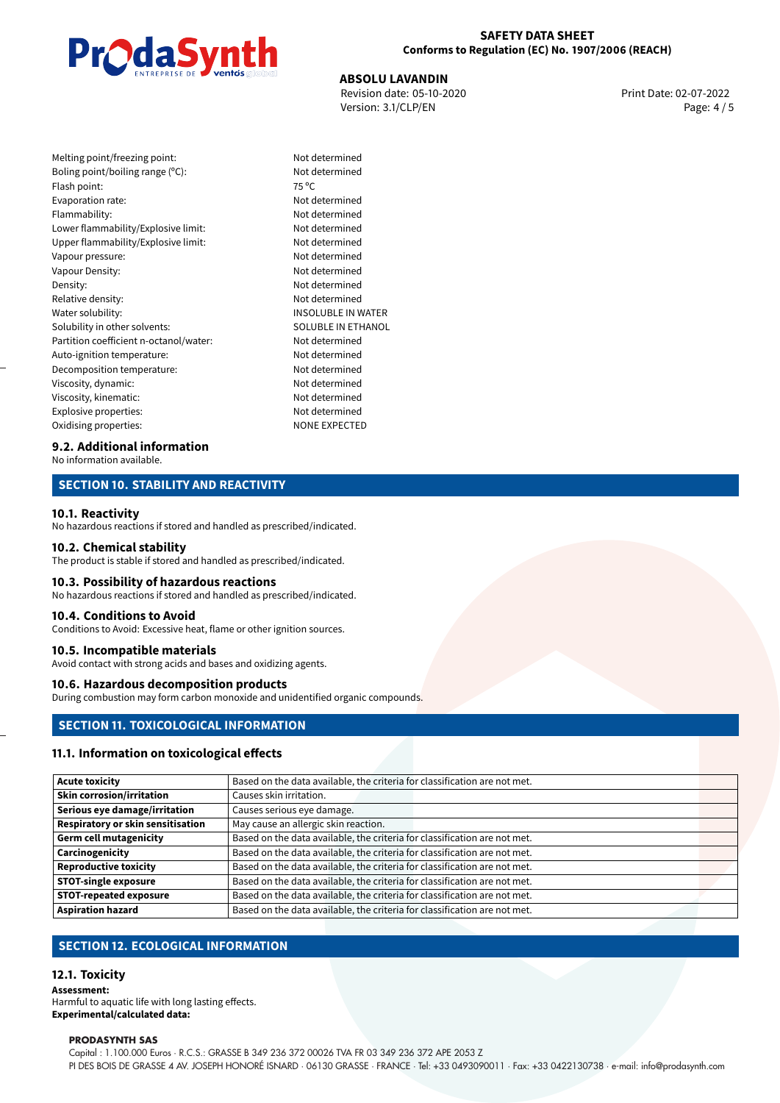

### **SAFETY DATA SHEET Conforms to Regulation (EC) No. 1907/2006 (REACH)**

**ABSOLU LAVANDIN**<br>Revision date: 05-10-2020 **Print Date: 02-07-2022** Version: 3.1/CLP/EN Page: 4 / 5

| Melting point/freezing point:          | Not c          |
|----------------------------------------|----------------|
| Boling point/boiling range (°C):       | Not c          |
| Flash point:                           | $75^{\circ}$ C |
| Evaporation rate:                      | Not c          |
| Flammability:                          | Not c          |
| Lower flammability/Explosive limit:    | Not c          |
| Upper flammability/Explosive limit:    | Not c          |
| Vapour pressure:                       | Not c          |
| Vapour Density:                        | Not c          |
| Density:                               | Not c          |
| Relative density:                      | Not c          |
| Water solubility:                      | <b>INSO</b>    |
| Solubility in other solvents:          | SOLL           |
| Partition coefficient n-octanol/water: | Not c          |
| Auto-ignition temperature:             | Not c          |
| Decomposition temperature:             | Not c          |
| Viscosity, dynamic:                    | Not c          |
| Viscosity, kinematic:                  | Not c          |
| Explosive properties:                  | Not c          |
| Oxidising properties:                  | NON            |

Not determined Not determined Not determined Not determined Not determined Not determined Not determined Not determined Not determined Not determined **INSOLUBLE IN WATER** SOLUBLE IN ETHANOL Not determined Not determined Not determined Not determined Not determined Not determined NONE EXPECTED

# **9.2. Additional information**

No information available.

# **SECTION 10. STABILITY AND REACTIVITY**

#### **10.1. Reactivity**

No hazardous reactions if stored and handled as prescribed/indicated.

#### **10.2. Chemical stability**

The product is stable if stored and handled as prescribed/indicated.

#### **10.3. Possibility of hazardous reactions**

No hazardous reactions if stored and handled as prescribed/indicated.

#### **10.4. Conditions to Avoid**

Conditions to Avoid: Excessive heat, flame or other ignition sources.

# **10.5. Incompatible materials**

Avoid contact with strong acids and bases and oxidizing agents.

# **10.6. Hazardous decomposition products**

During combustion may form carbon monoxide and unidentified organic compounds.

# **SECTION 11. TOXICOLOGICAL INFORMATION**

#### **11.1. Information on toxicological effects**

| Acute toxicity                    | Based on the data available, the criteria for classification are not met. |
|-----------------------------------|---------------------------------------------------------------------------|
| <b>Skin corrosion/irritation</b>  | Causes skin irritation.                                                   |
| Serious eye damage/irritation     | Causes serious eye damage.                                                |
| Respiratory or skin sensitisation | May cause an allergic skin reaction.                                      |
| Germ cell mutagenicity            | Based on the data available, the criteria for classification are not met. |
| <b>Carcinogenicity</b>            | Based on the data available, the criteria for classification are not met. |
| Reproductive toxicity             | Based on the data available, the criteria for classification are not met. |
| STOT-single exposure              | Based on the data available, the criteria for classification are not met. |
| <b>STOT-repeated exposure</b>     | Based on the data available, the criteria for classification are not met. |
| <b>Aspiration hazard</b>          | Based on the data available, the criteria for classification are not met. |

# **SECTION 12. ECOLOGICAL INFORMATION**

### **12.1. Toxicity**

**Assessment:**

Harmful to aquatic life with long lasting effects. **Experimental/calculated data:**

#### **PRODASYNTH SAS**